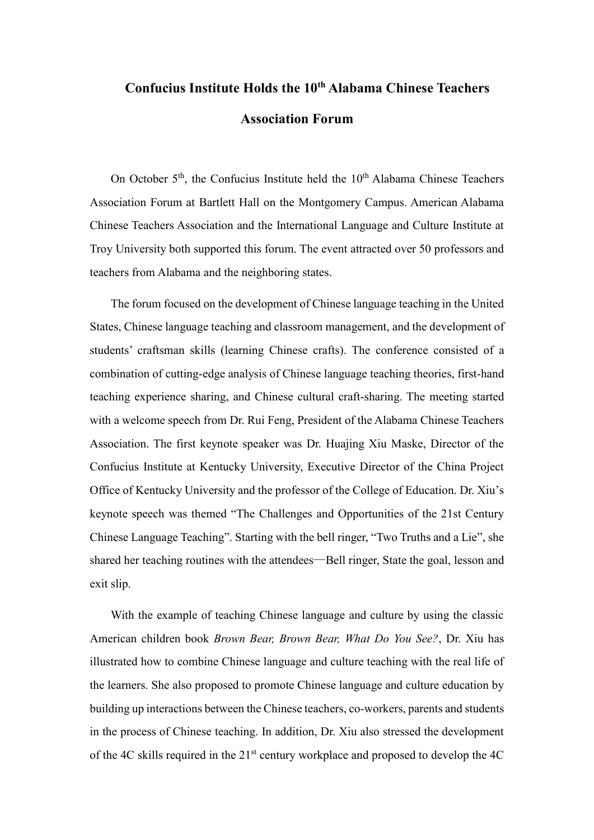## **Confucius Institute Holds the 10th Alabama Chinese Teachers Association Forum**

On October  $5<sup>th</sup>$ , the Confucius Institute held the  $10<sup>th</sup>$  Alabama Chinese Teachers Association Forum at Bartlett Hall on the Montgomery Campus. American Alabama Chinese Teachers Association and the International Language and Culture Institute at Troy University both supported this forum. The event attracted over 50 professors and teachers from Alabama and the neighboring states.

The forum focused on the development of Chinese language teaching in the United States, Chinese language teaching and classroom management, and the development of students' craftsman skills (learning Chinese crafts). The conference consisted of a combination of cutting-edge analysis of Chinese language teaching theories, first-hand teaching experience sharing, and Chinese cultural craft-sharing. The meeting started with a welcome speech from Dr. Rui Feng, President of the Alabama Chinese Teachers Association. The first keynote speaker was Dr. Huajing Xiu Maske, Director of the Confucius Institute at Kentucky University, Executive Director of the China Project Office of Kentucky University and the professor of the College of Education. Dr. Xiu's keynote speech was themed "The Challenges and Opportunities of the 21st Century Chinese Language Teaching". Starting with the bell ringer, "Two Truths and a Lie", she shared her teaching routines with the attendees—Bell ringer, State the goal, lesson and exit slip.

With the example of teaching Chinese language and culture by using the classic American children book *Brown Bear, Brown Bear, What Do You See?*, Dr. Xiu has illustrated how to combine Chinese language and culture teaching with the real life of the learners. She also proposed to promote Chinese language and culture education by building up interactions between the Chinese teachers, co-workers, parents and students in the process of Chinese teaching. In addition, Dr. Xiu also stressed the development of the 4C skills required in the 21st century workplace and proposed to develop the 4C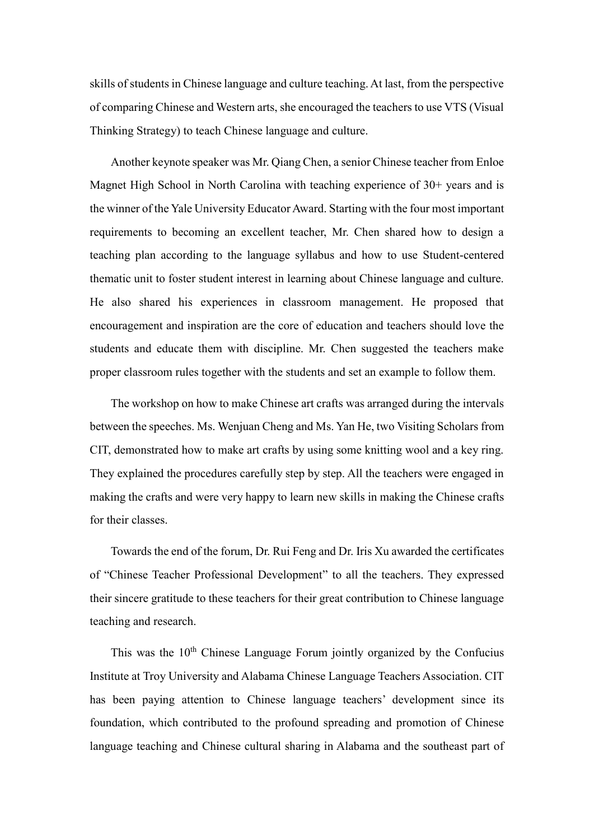skills of students in Chinese language and culture teaching. At last, from the perspective of comparing Chinese and Western arts, she encouraged the teachers to use VTS (Visual Thinking Strategy) to teach Chinese language and culture.

Another keynote speaker was Mr. Qiang Chen, a senior Chinese teacher from Enloe Magnet High School in North Carolina with teaching experience of 30+ years and is the winner of the Yale University Educator Award. Starting with the four most important requirements to becoming an excellent teacher, Mr. Chen shared how to design a teaching plan according to the language syllabus and how to use Student-centered thematic unit to foster student interest in learning about Chinese language and culture. He also shared his experiences in classroom management. He proposed that encouragement and inspiration are the core of education and teachers should love the students and educate them with discipline. Mr. Chen suggested the teachers make proper classroom rules together with the students and set an example to follow them.

The workshop on how to make Chinese art crafts was arranged during the intervals between the speeches. Ms. Wenjuan Cheng and Ms. Yan He, two Visiting Scholars from CIT, demonstrated how to make art crafts by using some knitting wool and a key ring. They explained the procedures carefully step by step. All the teachers were engaged in making the crafts and were very happy to learn new skills in making the Chinese crafts for their classes.

Towards the end of the forum, Dr. Rui Feng and Dr. Iris Xu awarded the certificates of "Chinese Teacher Professional Development" to all the teachers. They expressed their sincere gratitude to these teachers for their great contribution to Chinese language teaching and research.

This was the  $10<sup>th</sup>$  Chinese Language Forum jointly organized by the Confucius Institute at Troy University and Alabama Chinese Language Teachers Association. CIT has been paying attention to Chinese language teachers' development since its foundation, which contributed to the profound spreading and promotion of Chinese language teaching and Chinese cultural sharing in Alabama and the southeast part of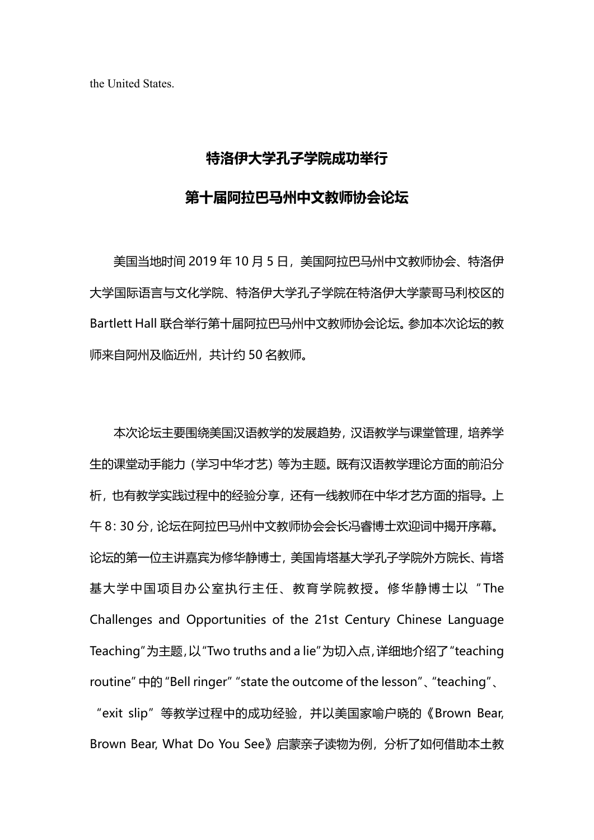the United States.

## **特洛伊大学孔子学院成功举行**

## **第十届阿拉巴马州中文教师协会论坛**

美国当地时间 2019年10月5日,美国阿拉巴马州中文教师协会、特洛伊 大学国际语言与文化学院、特洛伊大学孔子学院在特洛伊大学蒙哥马利校区的 Bartlett Hall 联合举行第十届阿拉巴马州中文教师协会论坛。参加本次论坛的教 师来自阿州及临近州,共计约 50 名教师。

本次论坛主要围绕美国汉语教学的发展趋势,汉语教学与课堂管理,培养学 生的课堂动手能力(学习中华才艺)等为主题。既有汉语教学理论方面的前沿分 析,也有教学实践过程中的经验分享,还有一线教师在中华才艺方面的指导。上 午 8:30 分,论坛在阿拉巴马州中文教师协会会长冯睿博士欢迎词中揭开序幕。 论坛的第一位主讲嘉宾为修华静博士,美国肯塔基大学孔子学院外方院长、肯塔 基大学中国项目办公室执行主任、教育学院教授。修华静博士以"The Challenges and Opportunities of the 21st Century Chinese Language Teaching"为主题,以"Two truths and a lie"为切入点,详细地介绍了"teaching routine"中的"Bell ringer""state the outcome of the lesson"、"teaching"、 "exit slip"等教学过程中的成功经验,并以美国家喻户晓的《Brown Bear, Brown Bear, What Do You See》启蒙亲子读物为例,分析了如何借助本土教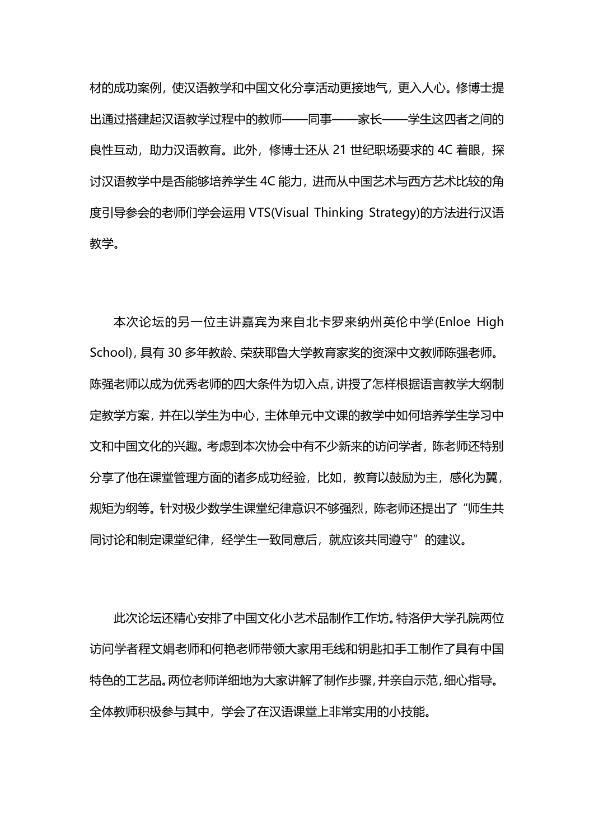材的成功案例,使汉语教学和中国文化分享活动更接地气,更入人心。修博士提 出通过搭建起汉语教学过程中的教师——同事——家长——学生这四者之间的 良性互动,助力汉语教育。此外,修博士还从 21 世纪职场要求的 4C 着眼,探 讨汉语教学中是否能够培养学生 4C 能力,进而从中国艺术与西方艺术比较的角 度引导参会的老师们学会运用 VTS(Visual Thinking Strategy)的方法进行汉语 教学。

本次论坛的另一位主讲嘉宾为来自北卡罗来纳州英伦中学(Enloe High School),具有 30 多年教龄、荣获耶鲁大学教育家奖的资深中文教师陈强老师。 陈强老师以成为优秀老师的四大条件为切入点,讲授了怎样根据语言教学大纲制 定教学方案,并在以学生为中心,主体单元中文课的教学中如何培养学生学习中 文和中国文化的兴趣。考虑到本次协会中有不少新来的访问学者,陈老师还特别 分享了他在课堂管理方面的诸多成功经验,比如,教育以鼓励为主,感化为翼, 规矩为纲等。针对极少数学生课堂纪律意识不够强烈,陈老师还提出了"师生共 同讨论和制定课堂纪律,经学生一致同意后,就应该共同遵守"的建议。

此次论坛还精心安排了中国文化小艺术品制作工作坊。特洛伊大学孔院两位 访问学者程文娟老师和何艳老师带领大家用毛线和钥匙扣手工制作了具有中国 特色的工艺品。两位老师详细地为大家讲解了制作步骤,并亲自示范,细心指导。 全体教师积极参与其中,学会了在汉语课堂上非常实用的小技能。